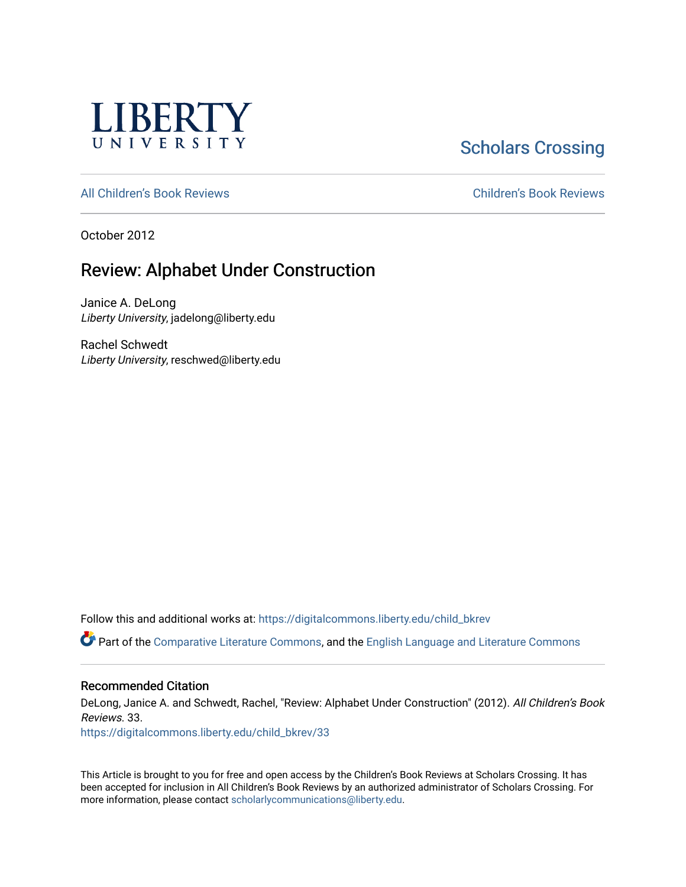

# **Scholars Crossing**

[All Children's Book Reviews](https://digitalcommons.liberty.edu/child_bkrev) [Children's Book Reviews](https://digitalcommons.liberty.edu/child_bookrev) 

October 2012

## Review: Alphabet Under Construction

Janice A. DeLong Liberty University, jadelong@liberty.edu

Rachel Schwedt Liberty University, reschwed@liberty.edu

Follow this and additional works at: [https://digitalcommons.liberty.edu/child\\_bkrev](https://digitalcommons.liberty.edu/child_bkrev?utm_source=digitalcommons.liberty.edu%2Fchild_bkrev%2F33&utm_medium=PDF&utm_campaign=PDFCoverPages) 

Part of the [Comparative Literature Commons](http://network.bepress.com/hgg/discipline/454?utm_source=digitalcommons.liberty.edu%2Fchild_bkrev%2F33&utm_medium=PDF&utm_campaign=PDFCoverPages), and the [English Language and Literature Commons](http://network.bepress.com/hgg/discipline/455?utm_source=digitalcommons.liberty.edu%2Fchild_bkrev%2F33&utm_medium=PDF&utm_campaign=PDFCoverPages)

#### Recommended Citation

DeLong, Janice A. and Schwedt, Rachel, "Review: Alphabet Under Construction" (2012). All Children's Book Reviews. 33.

[https://digitalcommons.liberty.edu/child\\_bkrev/33](https://digitalcommons.liberty.edu/child_bkrev/33?utm_source=digitalcommons.liberty.edu%2Fchild_bkrev%2F33&utm_medium=PDF&utm_campaign=PDFCoverPages)

This Article is brought to you for free and open access by the Children's Book Reviews at Scholars Crossing. It has been accepted for inclusion in All Children's Book Reviews by an authorized administrator of Scholars Crossing. For more information, please contact [scholarlycommunications@liberty.edu](mailto:scholarlycommunications@liberty.edu).